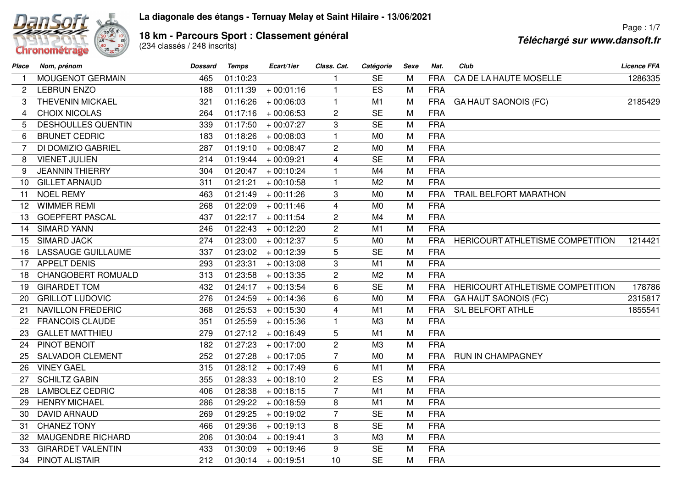

## **La diagonale des étangs - Ternuay Melay et Saint Hilaire - 13/06/2021**

**18 km - Parcours Sport : Classement général<br>(234 classés / 248 inscrits)** 

Page : 1/7**Téléchargé sur www.dansoft.fr**

| Place                 | Nom, prénom               | <b>Dossard</b> | Temps    | Ecart/1ier            | Class. Cat.    | Catégorie      | Sexe | Nat.       | Club                             | <b>Licence FFA</b> |
|-----------------------|---------------------------|----------------|----------|-----------------------|----------------|----------------|------|------------|----------------------------------|--------------------|
| $\mathbf{1}$          | MOUGENOT GERMAIN          | 465            | 01:10:23 |                       | 1              | <b>SE</b>      | M    | <b>FRA</b> | CA DE LA HAUTE MOSELLE           | 1286335            |
| $\mathbf{2}^{\prime}$ | <b>LEBRUN ENZO</b>        | 188            | 01:11:39 | $+00:01:16$           | $\mathbf{1}$   | ES             | M    | <b>FRA</b> |                                  |                    |
| 3                     | <b>THEVENIN MICKAEL</b>   | 321            | 01:16:26 | $+00:06:03$           | $\mathbf{1}$   | M1             | M    | <b>FRA</b> | <b>GA HAUT SAONOIS (FC)</b>      | 2185429            |
| 4                     | <b>CHOIX NICOLAS</b>      | 264            | 01:17:16 | $+00:06:53$           | $\overline{2}$ | <b>SE</b>      | M    | <b>FRA</b> |                                  |                    |
| 5                     | <b>DESHOULLES QUENTIN</b> | 339            | 01:17:50 | $+00:07:27$           | 3              | <b>SE</b>      | M    | <b>FRA</b> |                                  |                    |
| 6                     | <b>BRUNET CEDRIC</b>      | 183            | 01:18:26 | $+00:08:03$           | $\mathbf{1}$   | M <sub>0</sub> | M    | <b>FRA</b> |                                  |                    |
| 7                     | DI DOMIZIO GABRIEL        | 287            | 01:19:10 | $+00:08:47$           | $\overline{2}$ | M <sub>0</sub> | M    | <b>FRA</b> |                                  |                    |
| 8                     | <b>VIENET JULIEN</b>      | 214            | 01:19:44 | $+00:09:21$           | 4              | <b>SE</b>      | M    | <b>FRA</b> |                                  |                    |
| 9                     | <b>JEANNIN THIERRY</b>    | 304            | 01:20:47 | $+00:10:24$           | $\mathbf{1}$   | M4             | M    | <b>FRA</b> |                                  |                    |
| 10                    | <b>GILLET ARNAUD</b>      | 311            | 01:21:21 | $+00:10:58$           | $\mathbf{1}$   | M <sub>2</sub> | M    | <b>FRA</b> |                                  |                    |
| 11                    | <b>NOEL REMY</b>          | 463            | 01:21:49 | $+00:11:26$           | 3              | M <sub>0</sub> | M    | <b>FRA</b> | TRAIL BELFORT MARATHON           |                    |
| 12                    | <b>WIMMER REMI</b>        | 268            | 01:22:09 | $+00:11:46$           | $\overline{4}$ | M <sub>0</sub> | M    | <b>FRA</b> |                                  |                    |
| 13                    | <b>GOEPFERT PASCAL</b>    | 437            | 01:22:17 | $+00:11:54$           | $\mathbf{2}$   | M4             | M    | <b>FRA</b> |                                  |                    |
| 14                    | <b>SIMARD YANN</b>        | 246            | 01:22:43 | $+00:12:20$           | $\overline{c}$ | M1             | M    | <b>FRA</b> |                                  |                    |
| 15                    | <b>SIMARD JACK</b>        | 274            | 01:23:00 | $+00:12:37$           | 5              | M <sub>0</sub> | M    | <b>FRA</b> | HERICOURT ATHLETISME COMPETITION | 1214421            |
| 16                    | <b>LASSAUGE GUILLAUME</b> | 337            | 01:23:02 | $+00:12:39$           | 5              | <b>SE</b>      | M    | <b>FRA</b> |                                  |                    |
| 17                    | <b>APPELT DENIS</b>       | 293            | 01:23:31 | $+00:13:08$           | 3              | M1             | M    | <b>FRA</b> |                                  |                    |
| 18                    | CHANGOBERT ROMUALD        | 313            | 01:23:58 | $+00:13:35$           | $\overline{c}$ | M <sub>2</sub> | M    | <b>FRA</b> |                                  |                    |
| 19                    | <b>GIRARDET TOM</b>       | 432            | 01:24:17 | $+00:13:54$           | $6\phantom{1}$ | <b>SE</b>      | M    | <b>FRA</b> | HERICOURT ATHLETISME COMPETITION | 178786             |
| 20                    | <b>GRILLOT LUDOVIC</b>    | 276            | 01:24:59 | $+00:14:36$           | 6              | M <sub>0</sub> | M    | <b>FRA</b> | <b>GA HAUT SAONOIS (FC)</b>      | 2315817            |
| 21                    | <b>NAVILLON FREDERIC</b>  | 368            | 01:25:53 | $+00:15:30$           | 4              | M1             | M    | <b>FRA</b> | <b>S/L BELFORT ATHLE</b>         | 1855541            |
| 22                    | <b>FRANCOIS CLAUDE</b>    | 351            | 01:25:59 | $+00:15:36$           | $\mathbf{1}$   | M3             | M    | <b>FRA</b> |                                  |                    |
| 23                    | <b>GALLET MATTHIEU</b>    | 279            | 01:27:12 | $+00:16:49$           | 5              | M1             | M    | <b>FRA</b> |                                  |                    |
| 24                    | PINOT BENOIT              | 182            | 01:27:23 | $+00:17:00$           | $\overline{c}$ | M3             | M    | <b>FRA</b> |                                  |                    |
| 25                    | <b>SALVADOR CLEMENT</b>   | 252            | 01:27:28 | $+00:17:05$           | $\overline{7}$ | M <sub>0</sub> | M    | <b>FRA</b> | RUN IN CHAMPAGNEY                |                    |
| 26                    | <b>VINEY GAEL</b>         | 315            | 01:28:12 | $+00:17:49$           | 6              | M <sub>1</sub> | M    | <b>FRA</b> |                                  |                    |
| 27                    | <b>SCHILTZ GABIN</b>      | 355            | 01:28:33 | $+00:18:10$           | $\overline{2}$ | ES             | M    | <b>FRA</b> |                                  |                    |
| 28                    | <b>LAMBOLEZ CEDRIC</b>    | 406            | 01:28:38 | $+00:18:15$           | $\overline{7}$ | M1             | M    | <b>FRA</b> |                                  |                    |
| 29                    | <b>HENRY MICHAEL</b>      | 286            | 01:29:22 | $+00:18:59$           | 8              | M1             | M    | <b>FRA</b> |                                  |                    |
| 30                    | <b>DAVID ARNAUD</b>       | 269            | 01:29:25 | $+00:19:02$           | $\overline{7}$ | <b>SE</b>      | M    | <b>FRA</b> |                                  |                    |
| 31                    | <b>CHANEZ TONY</b>        | 466            | 01:29:36 | $+00:19:13$           | 8              | <b>SE</b>      | M    | <b>FRA</b> |                                  |                    |
| 32                    | <b>MAUGENDRE RICHARD</b>  | 206            | 01:30:04 | $+00:19:41$           | 3              | M3             | M    | <b>FRA</b> |                                  |                    |
| 33                    | <b>GIRARDET VALENTIN</b>  | 433            | 01:30:09 | $+00:19:46$           | 9              | <b>SE</b>      | M    | <b>FRA</b> |                                  |                    |
| 34                    | PINOT ALISTAIR            | 212            |          | $01:30:14 + 00:19:51$ | 10             | <b>SE</b>      | M    | <b>FRA</b> |                                  |                    |
|                       |                           |                |          |                       |                |                |      |            |                                  |                    |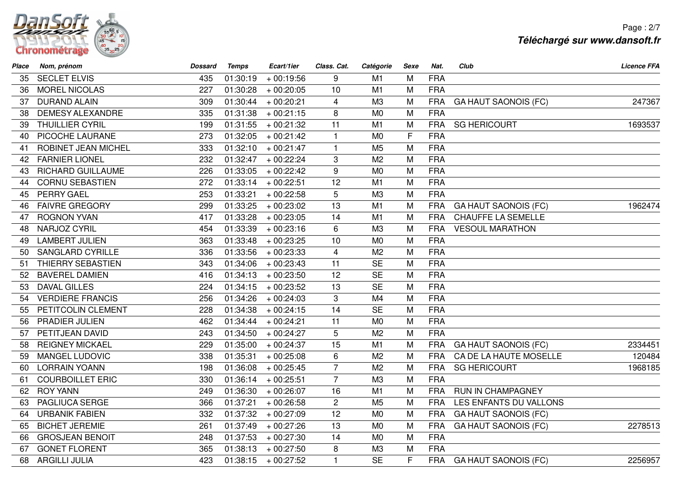

Page : 2/7**Téléchargé sur www.dansoft.fr**

| Place | Nom, prénom              | <b>Dossard</b> | <b>Temps</b> | Ecart/1ier  | Class. Cat.    | Catégorie      | Sexe | Nat.       | Club                        | <b>Licence FFA</b> |
|-------|--------------------------|----------------|--------------|-------------|----------------|----------------|------|------------|-----------------------------|--------------------|
| 35    | <b>SECLET ELVIS</b>      | 435            | 01:30:19     | $+00:19:56$ | 9              | M1             | M    | <b>FRA</b> |                             |                    |
| 36    | <b>MOREL NICOLAS</b>     | 227            | 01:30:28     | $+00:20:05$ | 10             | M1             | M    | <b>FRA</b> |                             |                    |
| 37    | <b>DURAND ALAIN</b>      | 309            | 01:30:44     | $+00:20:21$ | $\overline{4}$ | M3             | M    | <b>FRA</b> | <b>GA HAUT SAONOIS (FC)</b> | 247367             |
| 38    | <b>DEMESY ALEXANDRE</b>  | 335            | 01:31:38     | $+00:21:15$ | 8              | M <sub>0</sub> | M    | <b>FRA</b> |                             |                    |
| 39    | <b>THUILLIER CYRIL</b>   | 199            | 01:31:55     | $+00:21:32$ | 11             | M <sub>1</sub> | M    | <b>FRA</b> | <b>SG HERICOURT</b>         | 1693537            |
| 40    | PICOCHE LAURANE          | 273            | 01:32:05     | $+00:21:42$ | $\mathbf{1}$   | M <sub>0</sub> | F    | <b>FRA</b> |                             |                    |
| 41    | ROBINET JEAN MICHEL      | 333            | 01:32:10     | $+00:21:47$ | $\mathbf{1}$   | M <sub>5</sub> | M    | <b>FRA</b> |                             |                    |
| 42    | <b>FARNIER LIONEL</b>    | 232            | 01:32:47     | $+00:22:24$ | 3              | M <sub>2</sub> | M    | <b>FRA</b> |                             |                    |
| 43    | <b>RICHARD GUILLAUME</b> | 226            | 01:33:05     | $+00:22:42$ | 9              | M <sub>0</sub> | M    | <b>FRA</b> |                             |                    |
| 44    | <b>CORNU SEBASTIEN</b>   | 272            | 01:33:14     | $+00:22:51$ | 12             | M1             | M    | <b>FRA</b> |                             |                    |
| 45    | PERRY GAEL               | 253            | 01:33:21     | $+00:22:58$ | 5              | M3             | M    | <b>FRA</b> |                             |                    |
| 46    | <b>FAIVRE GREGORY</b>    | 299            | 01:33:25     | $+00:23:02$ | 13             | M <sub>1</sub> | M    | <b>FRA</b> | <b>GA HAUT SAONOIS (FC)</b> | 1962474            |
| 47    | <b>ROGNON YVAN</b>       | 417            | 01:33:28     | $+00:23:05$ | 14             | M1             | M    | <b>FRA</b> | <b>CHAUFFE LA SEMELLE</b>   |                    |
| 48    | NARJOZ CYRIL             | 454            | 01:33:39     | $+00:23:16$ | 6              | M3             | M    | <b>FRA</b> | <b>VESOUL MARATHON</b>      |                    |
| 49    | <b>LAMBERT JULIEN</b>    | 363            | 01:33:48     | $+00:23:25$ | 10             | M <sub>0</sub> | M    | <b>FRA</b> |                             |                    |
| 50    | <b>SANGLARD CYRILLE</b>  | 336            | 01:33:56     | $+00:23:33$ | $\overline{4}$ | M <sub>2</sub> | M    | <b>FRA</b> |                             |                    |
| 51    | THIERRY SEBASTIEN        | 343            | 01:34:06     | $+00:23:43$ | 11             | <b>SE</b>      | M    | <b>FRA</b> |                             |                    |
| 52    | <b>BAVEREL DAMIEN</b>    | 416            | 01:34:13     | $+00:23:50$ | 12             | <b>SE</b>      | M    | <b>FRA</b> |                             |                    |
| 53    | <b>DAVAL GILLES</b>      | 224            | 01:34:15     | $+00:23:52$ | 13             | <b>SE</b>      | M    | <b>FRA</b> |                             |                    |
| 54    | <b>VERDIERE FRANCIS</b>  | 256            | 01:34:26     | $+00:24:03$ | 3              | M4             | M    | <b>FRA</b> |                             |                    |
| 55    | PETITCOLIN CLEMENT       | 228            | 01:34:38     | $+00:24:15$ | 14             | <b>SE</b>      | M    | <b>FRA</b> |                             |                    |
| 56    | PRADIER JULIEN           | 462            | 01:34:44     | $+00:24:21$ | 11             | M <sub>0</sub> | M    | <b>FRA</b> |                             |                    |
| 57    | PETITJEAN DAVID          | 243            | 01:34:50     | $+00:24:27$ | 5              | M <sub>2</sub> | M    | <b>FRA</b> |                             |                    |
| 58    | <b>REIGNEY MICKAEL</b>   | 229            | 01:35:00     | $+00:24:37$ | 15             | M1             | M    | <b>FRA</b> | <b>GA HAUT SAONOIS (FC)</b> | 2334451            |
| 59    | <b>MANGEL LUDOVIC</b>    | 338            | 01:35:31     | $+00:25:08$ | 6              | M <sub>2</sub> | M    | <b>FRA</b> | CA DE LA HAUTE MOSELLE      | 120484             |
| 60    | <b>LORRAIN YOANN</b>     | 198            | 01:36:08     | $+00:25:45$ | $\overline{7}$ | M <sub>2</sub> | M    | <b>FRA</b> | <b>SG HERICOURT</b>         | 1968185            |
| 61    | <b>COURBOILLET ERIC</b>  | 330            | 01:36:14     | $+00:25:51$ | $\overline{7}$ | M3             | M    | <b>FRA</b> |                             |                    |
| 62    | <b>ROY YANN</b>          | 249            | 01:36:30     | $+00:26:07$ | 16             | M1             | M    | <b>FRA</b> | RUN IN CHAMPAGNEY           |                    |
| 63    | PAGLIUCA SERGE           | 366            | 01:37:21     | $+00:26:58$ | $\overline{2}$ | M <sub>5</sub> | M    | <b>FRA</b> | LES ENFANTS DU VALLONS      |                    |
| 64    | <b>URBANIK FABIEN</b>    | 332            | 01:37:32     | $+00:27:09$ | 12             | M <sub>0</sub> | M    | <b>FRA</b> | <b>GA HAUT SAONOIS (FC)</b> |                    |
| 65    | <b>BICHET JEREMIE</b>    | 261            | 01:37:49     | $+00:27:26$ | 13             | M <sub>0</sub> | M    | <b>FRA</b> | <b>GA HAUT SAONOIS (FC)</b> | 2278513            |
| 66    | <b>GROSJEAN BENOIT</b>   | 248            | 01:37:53     | $+00:27:30$ | 14             | M <sub>0</sub> | M    | <b>FRA</b> |                             |                    |
| 67    | <b>GONET FLORENT</b>     | 365            | 01:38:13     | $+00:27:50$ | 8              | M <sub>3</sub> | M    | <b>FRA</b> |                             |                    |
|       | 68 ARGILLI JULIA         | 423            | 01:38:15     | $+00:27:52$ | $\mathbf{1}$   | <b>SE</b>      | F    | <b>FRA</b> | <b>GA HAUT SAONOIS (FC)</b> | 2256957            |
|       |                          |                |              |             |                |                |      |            |                             |                    |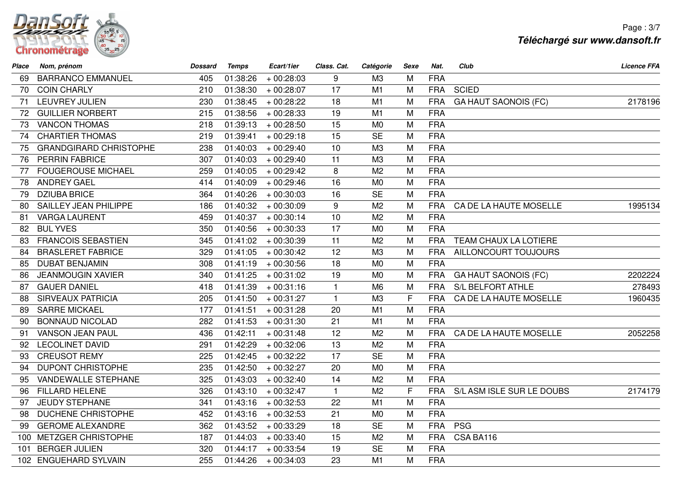

Page : 3/7**Téléchargé sur www.dansoft.fr**

| Place | Nom, prénom                   | <b>Dossard</b> | <b>Temps</b> | Ecart/1ier  | Class. Cat.  | Catégorie      | Sexe | Nat.       | Club                        | <b>Licence FFA</b> |
|-------|-------------------------------|----------------|--------------|-------------|--------------|----------------|------|------------|-----------------------------|--------------------|
| 69.   | <b>BARRANCO EMMANUEL</b>      | 405            | 01:38:26     | $+00:28:03$ | 9            | M3             | M    | <b>FRA</b> |                             |                    |
| 70    | <b>COIN CHARLY</b>            | 210            | 01:38:30     | $+00:28:07$ | 17           | M <sub>1</sub> | M    | <b>FRA</b> | <b>SCIED</b>                |                    |
| 71    | <b>LEUVREY JULIEN</b>         | 230            | 01:38:45     | $+00:28:22$ | 18           | M <sub>1</sub> | M    | <b>FRA</b> | <b>GA HAUT SAONOIS (FC)</b> | 2178196            |
| 72    | <b>GUILLIER NORBERT</b>       | 215            | 01:38:56     | $+00:28:33$ | 19           | M1             | M    | <b>FRA</b> |                             |                    |
| 73    | <b>VANCON THOMAS</b>          | 218            | 01:39:13     | $+00:28:50$ | 15           | M <sub>0</sub> | M    | <b>FRA</b> |                             |                    |
| 74    | <b>CHARTIER THOMAS</b>        | 219            | 01:39:41     | $+00:29:18$ | 15           | <b>SE</b>      | M    | <b>FRA</b> |                             |                    |
| 75    | <b>GRANDGIRARD CHRISTOPHE</b> | 238            | 01:40:03     | $+00:29:40$ | 10           | M <sub>3</sub> | M    | <b>FRA</b> |                             |                    |
| 76    | <b>PERRIN FABRICE</b>         | 307            | 01:40:03     | $+00:29:40$ | 11           | M3             | M    | <b>FRA</b> |                             |                    |
| 77    | <b>FOUGEROUSE MICHAEL</b>     | 259            | 01:40:05     | $+00:29:42$ | 8            | M <sub>2</sub> | M    | <b>FRA</b> |                             |                    |
| 78    | <b>ANDREY GAEL</b>            | 414            | 01:40:09     | $+00:29:46$ | 16           | M <sub>0</sub> | M    | <b>FRA</b> |                             |                    |
| 79    | <b>DZIUBA BRICE</b>           | 364            | 01:40:26     | $+00:30:03$ | 16           | <b>SE</b>      | M    | <b>FRA</b> |                             |                    |
| 80    | SAILLEY JEAN PHILIPPE         | 186            | 01:40:32     | $+00:30:09$ | 9            | M <sub>2</sub> | M    | <b>FRA</b> | CA DE LA HAUTE MOSELLE      | 1995134            |
| 81    | <b>VARGA LAURENT</b>          | 459            | 01:40:37     | $+00:30:14$ | 10           | M <sub>2</sub> | M    | <b>FRA</b> |                             |                    |
| 82    | <b>BUL YVES</b>               | 350            | 01:40:56     | $+00:30:33$ | 17           | M <sub>0</sub> | M    | <b>FRA</b> |                             |                    |
| 83    | <b>FRANCOIS SEBASTIEN</b>     | 345            | 01:41:02     | $+00:30:39$ | 11           | M <sub>2</sub> | M    | <b>FRA</b> | TEAM CHAUX LA LOTIERE       |                    |
| 84    | <b>BRASLERET FABRICE</b>      | 329            | 01:41:05     | $+00:30:42$ | 12           | M <sub>3</sub> | M    | <b>FRA</b> | AILLONCOURT TOUJOURS        |                    |
| 85    | <b>DUBAT BENJAMIN</b>         | 308            | 01:41:19     | $+00:30:56$ | 18           | M <sub>0</sub> | M    | <b>FRA</b> |                             |                    |
| 86    | <b>JEANMOUGIN XAVIER</b>      | 340            | 01:41:25     | $+00:31:02$ | 19           | M <sub>0</sub> | M    | <b>FRA</b> | <b>GA HAUT SAONOIS (FC)</b> | 2202224            |
| 87    | <b>GAUER DANIEL</b>           | 418            | 01:41:39     | $+00:31:16$ | $\mathbf{1}$ | M <sub>6</sub> | M    | <b>FRA</b> | S/L BELFORT ATHLE           | 278493             |
| 88    | <b>SIRVEAUX PATRICIA</b>      | 205            | 01:41:50     | $+00:31:27$ | $\mathbf{1}$ | M <sub>3</sub> | F    | <b>FRA</b> | CA DE LA HAUTE MOSELLE      | 1960435            |
| 89    | <b>SARRE MICKAEL</b>          | 177            | 01:41:51     | $+00:31:28$ | 20           | M1             | M    | <b>FRA</b> |                             |                    |
| 90    | <b>BONNAUD NICOLAD</b>        | 282            | 01:41:53     | $+00:31:30$ | 21           | M1             | M    | <b>FRA</b> |                             |                    |
| 91    | <b>VANSON JEAN PAUL</b>       | 436            | 01:42:11     | $+00:31:48$ | 12           | M <sub>2</sub> | M    | <b>FRA</b> | CA DE LA HAUTE MOSELLE      | 2052258            |
| 92    | <b>LECOLINET DAVID</b>        | 291            | 01:42:29     | $+00:32:06$ | 13           | M <sub>2</sub> | M    | <b>FRA</b> |                             |                    |
| 93    | <b>CREUSOT REMY</b>           | 225            | 01:42:45     | $+00:32:22$ | 17           | <b>SE</b>      | M    | <b>FRA</b> |                             |                    |
| 94    | <b>DUPONT CHRISTOPHE</b>      | 235            | 01:42:50     | $+00:32:27$ | 20           | M <sub>0</sub> | M    | <b>FRA</b> |                             |                    |
| 95    | <b>VANDEWALLE STEPHANE</b>    | 325            | 01:43:03     | $+00:32:40$ | 14           | M <sub>2</sub> | M    | <b>FRA</b> |                             |                    |
| 96    | <b>FILLARD HELENE</b>         | 326            | 01:43:10     | $+00:32:47$ | $\mathbf{1}$ | M <sub>2</sub> | F    | <b>FRA</b> | S/L ASM ISLE SUR LE DOUBS   | 2174179            |
| 97    | <b>JEUDY STEPHANE</b>         | 341            | 01:43:16     | $+00:32:53$ | 22           | M1             | M    | <b>FRA</b> |                             |                    |
| 98    | <b>DUCHENE CHRISTOPHE</b>     | 452            | 01:43:16     | $+00:32:53$ | 21           | M <sub>0</sub> | M    | <b>FRA</b> |                             |                    |
| 99    | <b>GEROME ALEXANDRE</b>       | 362            | 01:43:52     | $+00:33:29$ | 18           | <b>SE</b>      | M    | <b>FRA</b> | <b>PSG</b>                  |                    |
| 100   | <b>METZGER CHRISTOPHE</b>     | 187            | 01:44:03     | $+00:33:40$ | 15           | M <sub>2</sub> | M    | <b>FRA</b> | CSA BA116                   |                    |
| 101   | <b>BERGER JULIEN</b>          | 320            | 01:44:17     | $+00:33:54$ | 19           | <b>SE</b>      | M    | <b>FRA</b> |                             |                    |
|       | 102 ENGUEHARD SYLVAIN         | 255            | 01:44:26     | $+00:34:03$ | 23           | M1             | M    | <b>FRA</b> |                             |                    |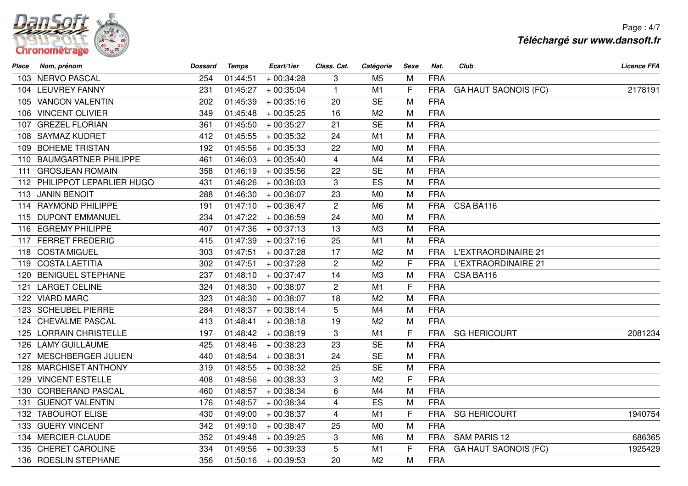

Page : 4/7**Téléchargé sur www.dansoft.fr**

| Place | Nom, prénom                  | <b>Dossard</b> | <b>Temps</b> | Ecart/1ier  | Class. Cat.    | Catégorie      | Sexe         | Nat.       | Club                        | <b>Licence FFA</b> |
|-------|------------------------------|----------------|--------------|-------------|----------------|----------------|--------------|------------|-----------------------------|--------------------|
|       | 103 NERVO PASCAL             | 254            | 01:44:51     | $+00:34:28$ | 3              | M <sub>5</sub> | M            | <b>FRA</b> |                             |                    |
|       | 104 LEUVREY FANNY            | 231            | 01:45:27     | $+00:35:04$ | $\mathbf{1}$   | M1             | F            | <b>FRA</b> | <b>GA HAUT SAONOIS (FC)</b> | 2178191            |
|       | 105 VANCON VALENTIN          | 202            | 01:45:39     | $+00:35:16$ | 20             | <b>SE</b>      | M            | <b>FRA</b> |                             |                    |
|       | 106 VINCENT OLIVIER          | 349            | 01:45:48     | $+00:35:25$ | 16             | M <sub>2</sub> | M            | <b>FRA</b> |                             |                    |
|       | 107 GREZEL FLORIAN           | 361            | 01:45:50     | $+00:35:27$ | 21             | <b>SE</b>      | M            | <b>FRA</b> |                             |                    |
|       | 108 SAYMAZ KUDRET            | 412            | 01:45:55     | $+00:35:32$ | 24             | M1             | M            | <b>FRA</b> |                             |                    |
|       | 109 BOHEME TRISTAN           | 192            | 01:45:56     | $+00:35:33$ | 22             | M <sub>0</sub> | M            | <b>FRA</b> |                             |                    |
|       | 110 BAUMGARTNER PHILIPPE     | 461            | 01:46:03     | $+00:35:40$ | 4              | M <sub>4</sub> | M            | <b>FRA</b> |                             |                    |
|       | 111 GROSJEAN ROMAIN          | 358            | 01:46:19     | $+00:35:56$ | 22             | <b>SE</b>      | M            | <b>FRA</b> |                             |                    |
|       | 112 PHILIPPOT LEPARLIER HUGO | 431            | 01:46:26     | $+00:36:03$ | 3              | ES             | M            | <b>FRA</b> |                             |                    |
|       | 113 JANIN BENOIT             | 288            | 01:46:30     | $+00:36:07$ | 23             | M <sub>0</sub> | M            | <b>FRA</b> |                             |                    |
|       | 114 RAYMOND PHILIPPE         | 191            | 01:47:10     | $+00:36:47$ | $\mathbf{2}$   | M <sub>6</sub> | M            | <b>FRA</b> | CSA BA116                   |                    |
|       | 115 DUPONT EMMANUEL          | 234            | 01:47:22     | $+00:36:59$ | 24             | M <sub>0</sub> | M            | <b>FRA</b> |                             |                    |
|       | 116 EGREMY PHILIPPE          | 407            | 01:47:36     | $+00:37:13$ | 13             | M3             | M            | <b>FRA</b> |                             |                    |
|       | 117 FERRET FREDERIC          | 415            | 01:47:39     | $+00:37:16$ | 25             | M1             | M            | <b>FRA</b> |                             |                    |
|       | 118 COSTA MIGUEL             | 303            | 01:47:51     | $+00:37:28$ | 17             | M <sub>2</sub> | M            | <b>FRA</b> | <b>L'EXTRAORDINAIRE 21</b>  |                    |
|       | 119 COSTA LAETITIA           | 302            | 01:47:51     | $+00:37:28$ | $\overline{2}$ | M <sub>2</sub> | F            | <b>FRA</b> | <b>L'EXTRAORDINAIRE 21</b>  |                    |
|       | 120 BENIGUEL STEPHANE        | 237            | 01:48:10     | $+00:37:47$ | 14             | M3             | M            | <b>FRA</b> | CSA BA116                   |                    |
|       | 121 LARGET CELINE            | 324            | 01:48:30     | $+00:38:07$ | $\overline{2}$ | M1             | $\mathsf{F}$ | <b>FRA</b> |                             |                    |
|       | 122 VIARD MARC               | 323            | 01:48:30     | $+00:38:07$ | 18             | M <sub>2</sub> | M            | <b>FRA</b> |                             |                    |
|       | 123 SCHEUBEL PIERRE          | 284            | 01:48:37     | $+00:38:14$ | 5              | M4             | M            | <b>FRA</b> |                             |                    |
|       | 124 CHEVALME PASCAL          | 413            | 01:48:41     | $+00:38:18$ | 19             | M <sub>2</sub> | M            | <b>FRA</b> |                             |                    |
|       | 125 LORRAIN CHRISTELLE       | 197            | 01:48:42     | $+00:38:19$ | 3              | M1             | F            | <b>FRA</b> | <b>SG HERICOURT</b>         | 2081234            |
|       | 126 LAMY GUILLAUME           | 425            | 01:48:46     | $+00:38:23$ | 23             | <b>SE</b>      | M            | <b>FRA</b> |                             |                    |
|       | 127 MESCHBERGER JULIEN       | 440            | 01:48:54     | $+00:38:31$ | 24             | <b>SE</b>      | M            | <b>FRA</b> |                             |                    |
|       | 128 MARCHISET ANTHONY        | 319            | 01:48:55     | $+00:38:32$ | 25             | <b>SE</b>      | M            | <b>FRA</b> |                             |                    |
|       | 129 VINCENT ESTELLE          | 408            | 01:48:56     | $+00:38:33$ | 3              | M <sub>2</sub> | F            | <b>FRA</b> |                             |                    |
|       | 130 CORBERAND PASCAL         | 460            | 01:48:57     | $+00:38:34$ | 6              | M4             | M            | <b>FRA</b> |                             |                    |
| 131.  | <b>GUENOT VALENTIN</b>       | 176            | 01:48:57     | $+00:38:34$ | 4              | ES             | M            | <b>FRA</b> |                             |                    |
|       | 132 TABOUROT ELISE           | 430            | 01:49:00     | $+00:38:37$ | $\overline{4}$ | M1             | F            | <b>FRA</b> | <b>SG HERICOURT</b>         | 1940754            |
|       | 133 GUERY VINCENT            | 342            | 01:49:10     | $+00:38:47$ | 25             | M <sub>0</sub> | M            | <b>FRA</b> |                             |                    |
|       | 134 MERCIER CLAUDE           | 352            | 01:49:48     | $+00:39:25$ | 3              | M <sub>6</sub> | M            | <b>FRA</b> | SAM PARIS 12                | 686365             |
|       | 135 CHERET CAROLINE          | 334            | 01:49:56     | $+00:39:33$ | 5              | M1             | F            | <b>FRA</b> | <b>GA HAUT SAONOIS (FC)</b> | 1925429            |
|       | 136 ROESLIN STEPHANE         | 356            | 01:50:16     | $+00:39:53$ | 20             | M <sub>2</sub> | M            | <b>FRA</b> |                             |                    |
|       |                              |                |              |             |                |                |              |            |                             |                    |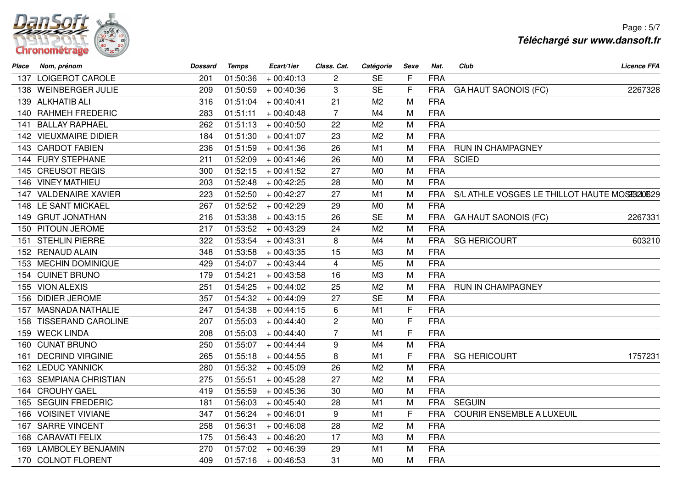

| Place | Nom, prénom               | <b>Dossard</b> | <b>Temps</b> | Ecart/1ier  | Class. Cat.    | Catégorie      | Sexe         | Nat.       | Club                                         | <b>Licence FFA</b> |
|-------|---------------------------|----------------|--------------|-------------|----------------|----------------|--------------|------------|----------------------------------------------|--------------------|
|       | 137 LOIGEROT CAROLE       | 201            | 01:50:36     | $+00:40:13$ | $\overline{c}$ | <b>SE</b>      | F            | <b>FRA</b> |                                              |                    |
| 138   | <b>WEINBERGER JULIE</b>   | 209            | 01:50:59     | $+00:40:36$ | 3              | <b>SE</b>      | F            | <b>FRA</b> | <b>GA HAUT SAONOIS (FC)</b>                  | 2267328            |
|       | 139 ALKHATIB ALI          | 316            | 01:51:04     | $+00:40:41$ | 21             | M <sub>2</sub> | M            | <b>FRA</b> |                                              |                    |
|       | 140 RAHMEH FREDERIC       | 283            | 01:51:11     | $+00:40:48$ | $\overline{7}$ | M4             | M            | <b>FRA</b> |                                              |                    |
| 141   | <b>BALLAY RAPHAEL</b>     | 262            | 01:51:13     | $+00:40:50$ | 22             | M <sub>2</sub> | M            | <b>FRA</b> |                                              |                    |
|       | 142 VIEUXMAIRE DIDIER     | 184            | 01:51:30     | $+00:41:07$ | 23             | M <sub>2</sub> | M            | <b>FRA</b> |                                              |                    |
|       | 143 CARDOT FABIEN         | 236            | 01:51:59     | $+00:41:36$ | 26             | M1             | M            | <b>FRA</b> | RUN IN CHAMPAGNEY                            |                    |
|       | 144 FURY STEPHANE         | 211            | 01:52:09     | $+00:41:46$ | 26             | M <sub>0</sub> | M            | <b>FRA</b> | <b>SCIED</b>                                 |                    |
|       | 145 CREUSOT REGIS         | 300            | 01:52:15     | $+00:41:52$ | 27             | M <sub>0</sub> | M            | <b>FRA</b> |                                              |                    |
|       | 146 VINEY MATHIEU         | 203            | 01:52:48     | $+00:42:25$ | 28             | M <sub>0</sub> | M            | <b>FRA</b> |                                              |                    |
|       | 147 VALDENAIRE XAVIER     | 223            | 01:52:50     | $+00:42:27$ | 27             | M1             | M            | <b>FRA</b> | S/L ATHLE VOSGES LE THILLOT HAUTE MOSE920629 |                    |
| 148   | LE SANT MICKAEL           | 267            | 01:52:52     | $+00:42:29$ | 29             | M <sub>0</sub> | M            | <b>FRA</b> |                                              |                    |
|       | 149 GRUT JONATHAN         | 216            | 01:53:38     | $+00:43:15$ | 26             | <b>SE</b>      | M            | <b>FRA</b> | <b>GA HAUT SAONOIS (FC)</b>                  | 2267331            |
|       | 150 PITOUN JEROME         | 217            | 01:53:52     | $+00:43:29$ | 24             | M <sub>2</sub> | M            | <b>FRA</b> |                                              |                    |
| 151   | <b>STEHLIN PIERRE</b>     | 322            | 01:53:54     | $+00:43:31$ | 8              | M4             | M            | <b>FRA</b> | <b>SG HERICOURT</b>                          | 603210             |
|       | 152 RENAUD ALAIN          | 348            | 01:53:58     | $+00:43:35$ | 15             | M3             | M            | <b>FRA</b> |                                              |                    |
|       | 153 MECHIN DOMINIQUE      | 429            | 01:54:07     | $+00:43:44$ | $\overline{4}$ | M <sub>5</sub> | M            | <b>FRA</b> |                                              |                    |
|       | 154 CUINET BRUNO          | 179            | 01:54:21     | $+00:43:58$ | 16             | M <sub>3</sub> | M            | <b>FRA</b> |                                              |                    |
|       | 155 VION ALEXIS           | 251            | 01:54:25     | $+00:44:02$ | 25             | M <sub>2</sub> | M            | <b>FRA</b> | RUN IN CHAMPAGNEY                            |                    |
|       | 156 DIDIER JEROME         | 357            | 01:54:32     | $+00:44:09$ | 27             | <b>SE</b>      | M            | <b>FRA</b> |                                              |                    |
|       | 157 MASNADA NATHALIE      | 247            | 01:54:38     | $+00:44:15$ | $6\phantom{1}$ | M1             | F            | <b>FRA</b> |                                              |                    |
| 158   | <b>TISSERAND CAROLINE</b> | 207            | 01:55:03     | $+00:44:40$ | $\overline{c}$ | M <sub>0</sub> | F            | <b>FRA</b> |                                              |                    |
|       | 159 WECK LINDA            | 208            | 01:55:03     | $+00:44:40$ | $\overline{7}$ | M1             | $\mathsf{F}$ | <b>FRA</b> |                                              |                    |
|       | 160 CUNAT BRUNO           | 250            | 01:55:07     | $+00:44:44$ | 9              | M4             | M            | <b>FRA</b> |                                              |                    |
| 161   | <b>DECRIND VIRGINIE</b>   | 265            | 01:55:18     | $+00:44:55$ | 8              | M1             | $\mathsf{F}$ | <b>FRA</b> | <b>SG HERICOURT</b>                          | 1757231            |
|       | 162 LEDUC YANNICK         | 280            | 01:55:32     | $+00:45:09$ | 26             | M <sub>2</sub> | M            | <b>FRA</b> |                                              |                    |
|       | 163 SEMPIANA CHRISTIAN    | 275            | 01:55:51     | $+00:45:28$ | 27             | M <sub>2</sub> | M            | <b>FRA</b> |                                              |                    |
|       | 164 CROUHY GAEL           | 419            | 01:55:59     | $+00:45:36$ | 30             | M <sub>0</sub> | M            | <b>FRA</b> |                                              |                    |
| 165   | <b>SEGUIN FREDERIC</b>    | 181            | 01:56:03     | $+00:45:40$ | 28             | M1             | M            | <b>FRA</b> | <b>SEGUIN</b>                                |                    |
| 166   | <b>VOISINET VIVIANE</b>   | 347            | 01:56:24     | $+00:46:01$ | 9              | M1             | $\mathsf{F}$ | <b>FRA</b> | <b>COURIR ENSEMBLE A LUXEUIL</b>             |                    |
|       | 167 SARRE VINCENT         | 258            | 01:56:31     | $+00:46:08$ | 28             | M <sub>2</sub> | M            | <b>FRA</b> |                                              |                    |
| 168   | <b>CARAVATI FELIX</b>     | 175            | 01:56:43     | $+00:46:20$ | 17             | M <sub>3</sub> | M            | <b>FRA</b> |                                              |                    |
| 169.  | <b>LAMBOLEY BENJAMIN</b>  | 270            | 01:57:02     | $+00:46:39$ | 29             | M1             | M            | <b>FRA</b> |                                              |                    |
|       | 170 COLNOT FLORENT        | 409            | 01:57:16     | $+00:46:53$ | 31             | M <sub>0</sub> | M            | <b>FRA</b> |                                              |                    |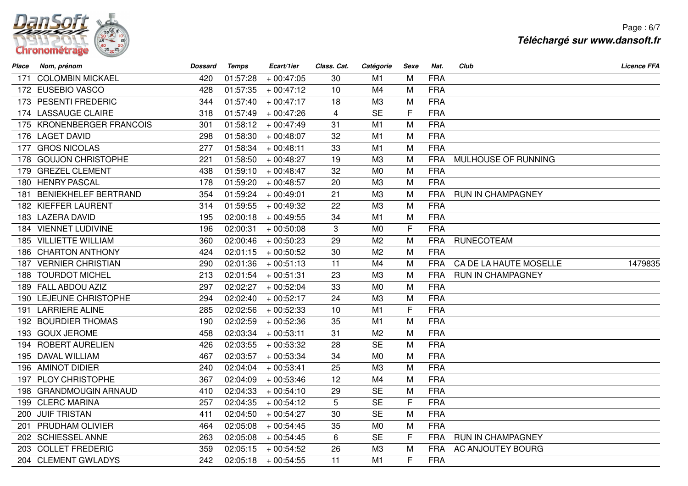

Page : 6/7**Téléchargé sur www.dansoft.fr**

| Place | Nom, prénom                 | <b>Dossard</b> | <b>Temps</b> | Ecart/1ier  | Class. Cat.    | Catégorie      | <b>Sexe</b> | Nat.       | Club                     | <b>Licence FFA</b> |
|-------|-----------------------------|----------------|--------------|-------------|----------------|----------------|-------------|------------|--------------------------|--------------------|
| 171   | <b>COLOMBIN MICKAEL</b>     | 420            | 01:57:28     | $+00:47:05$ | 30             | M1             | M           | <b>FRA</b> |                          |                    |
|       | 172 EUSEBIO VASCO           | 428            | 01:57:35     | $+00:47:12$ | 10             | M4             | M           | <b>FRA</b> |                          |                    |
|       | 173 PESENTI FREDERIC        | 344            | 01:57:40     | $+00:47:17$ | 18             | M3             | M           | <b>FRA</b> |                          |                    |
|       | 174 LASSAUGE CLAIRE         | 318            | 01:57:49     | $+00:47:26$ | $\overline{4}$ | <b>SE</b>      | F           | <b>FRA</b> |                          |                    |
|       | 175 KRONENBERGER FRANCOIS   | 301            | 01:58:12     | $+00:47:49$ | 31             | M1             | M           | <b>FRA</b> |                          |                    |
|       | 176 LAGET DAVID             | 298            | 01:58:30     | $+00:48:07$ | 32             | M1             | M           | <b>FRA</b> |                          |                    |
|       | 177 GROS NICOLAS            | 277            | 01:58:34     | $+00:48:11$ | 33             | M1             | M           | <b>FRA</b> |                          |                    |
|       | 178 GOUJON CHRISTOPHE       | 221            | 01:58:50     | $+00:48:27$ | 19             | M <sub>3</sub> | M           | <b>FRA</b> | MULHOUSE OF RUNNING      |                    |
|       | 179 GREZEL CLEMENT          | 438            | 01:59:10     | $+00:48:47$ | 32             | M <sub>0</sub> | M           | <b>FRA</b> |                          |                    |
|       | 180 HENRY PASCAL            | 178            | 01:59:20     | $+00:48:57$ | 20             | M <sub>3</sub> | M           | <b>FRA</b> |                          |                    |
| 181   | <b>BENIEKHELEF BERTRAND</b> | 354            | 01:59:24     | $+00:49:01$ | 21             | M3             | M           | <b>FRA</b> | <b>RUN IN CHAMPAGNEY</b> |                    |
|       | 182 KIEFFER LAURENT         | 314            | 01:59:55     | $+00:49:32$ | 22             | M3             | M           | <b>FRA</b> |                          |                    |
|       | 183 LAZERA DAVID            | 195            | 02:00:18     | $+00:49:55$ | 34             | M1             | M           | <b>FRA</b> |                          |                    |
|       | 184 VIENNET LUDIVINE        | 196            | 02:00:31     | $+00:50:08$ | 3              | M <sub>0</sub> | F           | <b>FRA</b> |                          |                    |
|       | 185 VILLIETTE WILLIAM       | 360            | 02:00:46     | $+00:50:23$ | 29             | M <sub>2</sub> | M           | <b>FRA</b> | <b>RUNECOTEAM</b>        |                    |
|       | 186 CHARTON ANTHONY         | 424            | 02:01:15     | $+00:50:52$ | 30             | M <sub>2</sub> | M           | <b>FRA</b> |                          |                    |
|       | 187 VERNIER CHRISTIAN       | 290            | 02:01:36     | $+00:51:13$ | 11             | M4             | M           | <b>FRA</b> | CA DE LA HAUTE MOSELLE   | 1479835            |
|       | 188 TOURDOT MICHEL          | 213            | 02:01:54     | $+00:51:31$ | 23             | M3             | M           | <b>FRA</b> | <b>RUN IN CHAMPAGNEY</b> |                    |
|       | 189 FALL ABDOU AZIZ         | 297            | 02:02:27     | $+00:52:04$ | 33             | M <sub>0</sub> | M           | <b>FRA</b> |                          |                    |
|       | 190 LEJEUNE CHRISTOPHE      | 294            | 02:02:40     | $+00:52:17$ | 24             | M <sub>3</sub> | M           | <b>FRA</b> |                          |                    |
|       | 191 LARRIERE ALINE          | 285            | 02:02:56     | $+00:52:33$ | 10             | M1             | F           | <b>FRA</b> |                          |                    |
|       | 192 BOURDIER THOMAS         | 190            | 02:02:59     | $+00:52:36$ | 35             | M1             | M           | <b>FRA</b> |                          |                    |
|       | 193 GOUX JEROME             | 458            | 02:03:34     | $+00:53:11$ | 31             | M <sub>2</sub> | M           | <b>FRA</b> |                          |                    |
|       | 194 ROBERT AURELIEN         | 426            | 02:03:55     | $+00:53:32$ | 28             | <b>SE</b>      | M           | <b>FRA</b> |                          |                    |
|       | 195 DAVAL WILLIAM           | 467            | 02:03:57     | $+00:53:34$ | 34             | M <sub>0</sub> | M           | <b>FRA</b> |                          |                    |
|       | 196 AMINOT DIDIER           | 240            | 02:04:04     | $+00:53:41$ | 25             | M3             | M           | <b>FRA</b> |                          |                    |
|       | 197 PLOY CHRISTOPHE         | 367            | 02:04:09     | $+00:53:46$ | 12             | M4             | M           | <b>FRA</b> |                          |                    |
|       | 198 GRANDMOUGIN ARNAUD      | 410            | 02:04:33     | $+00:54:10$ | 29             | <b>SE</b>      | M           | <b>FRA</b> |                          |                    |
|       | 199 CLERC MARINA            | 257            | 02:04:35     | $+00:54:12$ | 5              | <b>SE</b>      | F           | <b>FRA</b> |                          |                    |
|       | 200 JUIF TRISTAN            | 411            | 02:04:50     | $+00:54:27$ | 30             | <b>SE</b>      | M           | <b>FRA</b> |                          |                    |
|       | 201 PRUDHAM OLIVIER         | 464            | 02:05:08     | $+00:54:45$ | 35             | M <sub>0</sub> | M           | <b>FRA</b> |                          |                    |
|       | 202 SCHIESSEL ANNE          | 263            | 02:05:08     | $+00:54:45$ | 6              | <b>SE</b>      | F           | <b>FRA</b> | RUN IN CHAMPAGNEY        |                    |
|       | 203 COLLET FREDERIC         | 359            | 02:05:15     | $+00:54:52$ | 26             | M3             | M           | <b>FRA</b> | AC ANJOUTEY BOURG        |                    |
|       | 204 CLEMENT GWLADYS         | 242            | 02:05:18     | $+00:54:55$ | 11             | M1             | F           | <b>FRA</b> |                          |                    |